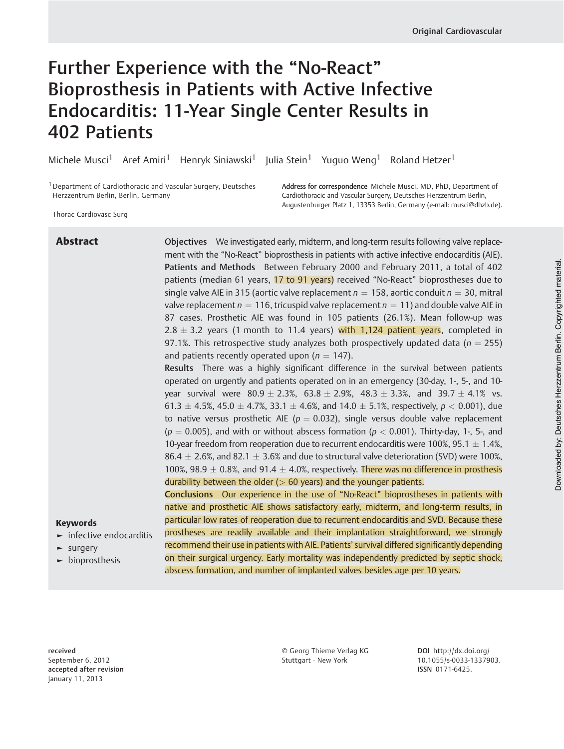# Further Experience with the "No-React" Bioprosthesis in Patients with Active Infective Endocarditis: 11-Year Single Center Results in 402 Patients

Michele Musci<sup>1</sup> Aref Amiri<sup>1</sup> Henryk Siniawski<sup>1</sup> Julia Stein<sup>1</sup> Yuguo Weng<sup>1</sup> Roland Hetzer<sup>1</sup>

<sup>1</sup> Department of Cardiothoracic and Vascular Surgery, Deutsches Herzzentrum Berlin, Berlin, Germany

Address for correspondence Michele Musci, MD, PhD, Department of Cardiothoracic and Vascular Surgery, Deutsches Herzzentrum Berlin, Augustenburger Platz 1, 13353 Berlin, Germany (e-mail: musci@dhzb.de).

Thorac Cardiovasc Surg

| <b>Abstract</b> | Objectives We investigated early, midterm, and long-term results following valve replace-      |
|-----------------|------------------------------------------------------------------------------------------------|
|                 | ment with the "No-React" bioprosthesis in patients with active infective endocarditis (AIE).   |
|                 | Patients and Methods Between February 2000 and February 2011, a total of 402                   |
|                 | patients (median 61 years, 17 to 91 years) received "No-React" bioprostheses due to            |
|                 | single valve AIE in 315 (aortic valve replacement $n = 158$ , aortic conduit $n = 30$ , mitral |
|                 | valve replacement $n = 116$ , tricuspid valve replacement $n = 11$ ) and double valve AIE in   |
|                 | 87 cases. Prosthetic AIE was found in 105 patients (26.1%). Mean follow-up was                 |
|                 | 2.8 $\pm$ 3.2 years (1 month to 11.4 years) with 1,124 patient years, completed in             |
|                 | 97.1%. This retrospective study analyzes both prospectively updated data ( $n = 255$ )         |
|                 | and patients recently operated upon ( $n = 147$ ).                                             |
|                 |                                                                                                |

Results There was a highly significant difference in the survival between patients operated on urgently and patients operated on in an emergency (30-day, 1-, 5-, and 10 year survival were  $80.9 \pm 2.3$ %,  $63.8 \pm 2.9$ %,  $48.3 \pm 3.3$ %, and  $39.7 \pm 4.1$ % vs. 61.3  $\pm$  4.5%, 45.0  $\pm$  4.7%, 33.1  $\pm$  4.6%, and 14.0  $\pm$  5.1%, respectively,  $p < 0.001$ ), due to native versus prosthetic AIE ( $p = 0.032$ ), single versus double valve replacement ( $p = 0.005$ ), and with or without abscess formation ( $p < 0.001$ ). Thirty-day, 1-, 5-, and 10-year freedom from reoperation due to recurrent endocarditis were 100%, 95.1  $\pm$  1.4%, 86.4  $\pm$  2.6%, and 82.1  $\pm$  3.6% and due to structural valve deterioration (SVD) were 100%, 100%, 98.9  $\pm$  0.8%, and 91.4  $\pm$  4.0%, respectively. There was no difference in prosthesis durability between the older ( $> 60$  years) and the younger patients.

#### Keywords

- ► infective endocarditis
- ► surgery

► bioprosthesis

Conclusions Our experience in the use of "No-React" bioprostheses in patients with native and prosthetic AIE shows satisfactory early, midterm, and long-term results, in particular low rates of reoperation due to recurrent endocarditis and SVD. Because these prostheses are readily available and their implantation straightforward, we strongly recommend their use in patients with AIE. Patients' survival differed significantly depending on their surgical urgency. Early mortality was independently predicted by septic shock, abscess formation, and number of implanted valves besides age per 10 years.

received September 6, 2012 accepted after revision January 11, 2013

© Georg Thieme Verlag KG Stuttgart · New York

DOI http://dx.doi.org/ 10.1055/s-0033-1337903. ISSN 0171-6425.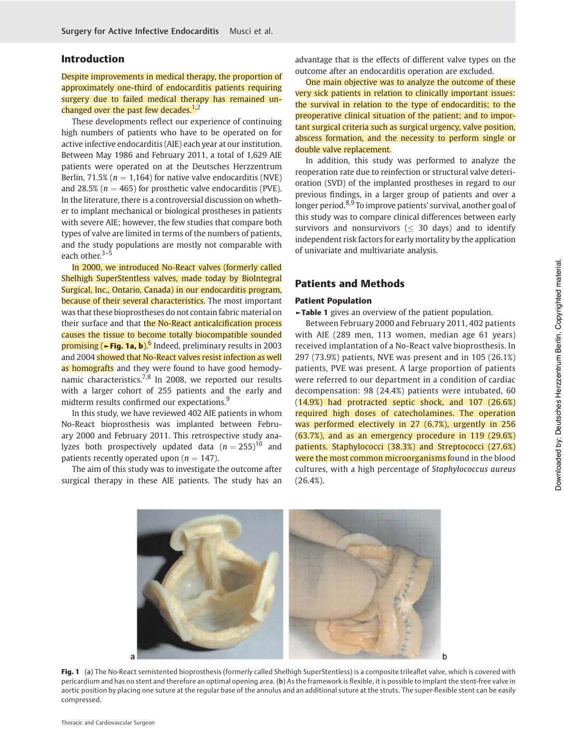## Introduction

Despite improvements in medical therapy, the proportion of approximately one-third of endocarditis patients requiring surgery due to failed medical therapy has remained unchanged over the past few decades.<sup>1,2</sup>

These developments reflect our experience of continuing high numbers of patients who have to be operated on for active infective endocarditis (AIE) each year at our institution. Between May 1986 and February 2011, a total of 1,629 AIE patients were operated on at the Deutsches Herzzentrum Berlin, 71.5% ( $n = 1,164$ ) for native valve endocarditis (NVE) and 28.5% ( $n = 465$ ) for prosthetic valve endocarditis (PVE). In the literature, there is a controversial discussion on whether to implant mechanical or biological prostheses in patients with severe AIE; however, the few studies that compare both types of valve are limited in terms of the numbers of patients, and the study populations are mostly not comparable with each other.<sup>3-5</sup>

In 2000, we introduced No-React valves (formerly called Shelhigh SuperStentless valves, made today by BioIntegral Surgical, Inc., Ontario, Canada) in our endocarditis program, because of their several characteristics. The most important was that these bioprostheses do not contain fabric material on their surface and that the No-React anticalcification process causes the tissue to become totally biocompatible sounded promising ( $\blacktriangleright$  Fig. 1a, b).<sup>6</sup> Indeed, preliminary results in 2003 and 2004 showed that No-React valves resist infection as well as homografts and they were found to have good hemodynamic characteristics.<sup>7,8</sup> In 2008, we reported our results with a larger cohort of 255 patients and the early and midterm results confirmed our expectations.<sup>9</sup>

In this study, we have reviewed 402 AIE patients in whom No-React bioprosthesis was implanted between February 2000 and February 2011. This retrospective study analyzes both prospectively updated data  $(n = 255)^{10}$  and patients recently operated upon ( $n = 147$ ).

The aim of this study was to investigate the outcome after surgical therapy in these AIE patients. The study has an advantage that is the effects of different valve types on the outcome after an endocarditis operation are excluded.

One main objective was to analyze the outcome of these very sick patients in relation to clinically important issues: the survival in relation to the type of endocarditis; to the preoperative clinical situation of the patient; and to important surgical criteria such as surgical urgency, valve position, abscess formation, and the necessity to perform single or double valve replacement.

In addition, this study was performed to analyze the reoperation rate due to reinfection or structural valve deterioration (SVD) of the implanted prostheses in regard to our previous findings, in a larger group of patients and over a longer period.<sup>8,9</sup> To improve patients' survival, another goal of this study was to compare clinical differences between early survivors and nonsurvivors ( $\leq$  30 days) and to identify independent risk factors for early mortality by the application of univariate and multivariate analysis.

# Patients and Methods

#### Patient Population

►Table 1 gives an overview of the patient population.

Between February 2000 and February 2011, 402 patients with AIE (289 men, 113 women, median age 61 years) received implantation of a No-React valve bioprosthesis. In 297 (73.9%) patients, NVE was present and in 105 (26.1%) patients, PVE was present. A large proportion of patients were referred to our department in a condition of cardiac decompensation: 98 (24.4%) patients were intubated, 60 (14.9%) had protracted septic shock, and 107 (26.6%) required high doses of catecholamines. The operation was performed electively in 27 (6.7%), urgently in 256 (63.7%), and as an emergency procedure in 119 (29.6%) patients. Staphylococci (38.3%) and Streptococci (27.6%) were the most common microorganisms found in the blood cultures, with a high percentage of Staphylococcus aureus (26.4%).

Fig. 1 (a) The No-React semistented bioprosthesis (formerly called Shelhigh SuperStentless) is a composite trileaflet valve, which is covered with pericardium and has no stent and therefore an optimal opening area. (b) As the framework is flexible, it is possible to implant the stent-free valve in aortic position by placing one suture at the regular base of the annulus and an additional suture at the struts. The super-flexible stent can be easily compressed.

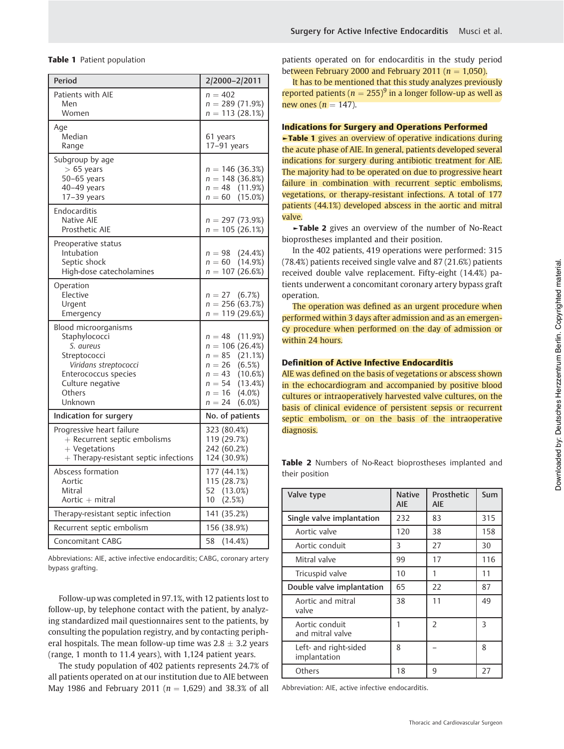| Period                                                                                                                                                       | 2/2000-2/2011                                                                                                                                                                  |
|--------------------------------------------------------------------------------------------------------------------------------------------------------------|--------------------------------------------------------------------------------------------------------------------------------------------------------------------------------|
| Patients with AIE<br>Men<br>Women                                                                                                                            | $n = 402$<br>$n = 289(71.9%)$<br>$n = 113(28.1\%)$                                                                                                                             |
| Age<br>Median<br>Range                                                                                                                                       | 61 years<br>17-91 years                                                                                                                                                        |
| Subgroup by age<br>$> 65$ years<br>$50-65$ years<br>40-49 years<br>$17-39$ years                                                                             | $n = 146(36.3%)$<br>$n = 148(36.8%)$<br>$n = 48$ (11.9%)<br>$n = 60$<br>(15.0%)                                                                                                |
| Endocarditis<br><b>Native AIE</b><br>Prosthetic AIE                                                                                                          | $n = 297(73.9%)$<br>$n = 105(26.1\%)$                                                                                                                                          |
| Preoperative status<br>Intubation<br>Septic shock<br>High-dose catecholamines                                                                                | (24.4%)<br>$n=98$<br>$n = 60$ (14.9%)<br>$n = 107(26.6%)$                                                                                                                      |
| Operation<br>Elective<br>Urgent<br>Emergency                                                                                                                 | $n = 27$ (6.7%)<br>$n = 256(63.7\%)$<br>$n = 119(29.6%)$                                                                                                                       |
| Blood microorganisms<br>Staphylococci<br>S. aureus<br>Streptococci<br>Viridans streptococci<br>Enterococcus species<br>Culture negative<br>Others<br>Unknown | $n = 48$<br>(11.9%)<br>$n = 106(26.4%)$<br>$n = 85$ (21.1%)<br>$n = 26$<br>(6.5%)<br>$n = 43$<br>(10.6%)<br>$n = 54$ (13.4%)<br>$n = 16$<br>$(4.0\%)$<br>$n = 24$<br>$(6.0\%)$ |
| Indication for surgery                                                                                                                                       | No. of patients                                                                                                                                                                |
| Progressive heart failure<br>+ Recurrent septic embolisms<br>$+$ Vegetations<br>$+$ Therapy-resistant septic infections                                      | 323 (80.4%)<br>119 (29.7%)<br>242 (60.2%)<br>124 (30.9%)                                                                                                                       |
| Abscess formation<br>Aortic<br>Mitral<br>Aortic + mitral                                                                                                     | 177 (44.1%)<br>115 (28.7%)<br>52 (13.0%)<br>10<br>(2.5%)                                                                                                                       |
| Therapy-resistant septic infection                                                                                                                           | 141 (35.2%)                                                                                                                                                                    |
| Recurrent septic embolism                                                                                                                                    | 156 (38.9%)                                                                                                                                                                    |
| <b>Concomitant CABG</b>                                                                                                                                      | 58<br>(14.4%)                                                                                                                                                                  |

Abbreviations: AIE, active infective endocarditis; CABG, coronary artery bypass grafting.

Follow-up was completed in 97.1%, with 12 patients lost to follow-up, by telephone contact with the patient, by analyzing standardized mail questionnaires sent to the patients, by consulting the population registry, and by contacting peripheral hospitals. The mean follow-up time was  $2.8 \pm 3.2$  years (range, 1 month to 11.4 years), with 1,124 patient years.

The study population of 402 patients represents 24.7% of all patients operated on at our institution due to AIE between May 1986 and February 2011 ( $n = 1,629$ ) and 38.3% of all

patients operated on for endocarditis in the study period between February 2000 and February 2011 ( $n = 1,050$ ).

It has to be mentioned that this study analyzes previously reported patients ( $n = 255$ )<sup>9</sup> in a longer follow-up as well as new ones ( $n = 147$ ).

## Indications for Surgery and Operations Performed

► Table 1 gives an overview of operative indications during the acute phase of AIE. In general, patients developed several indications for surgery during antibiotic treatment for AIE. The majority had to be operated on due to progressive heart failure in combination with recurrent septic embolisms, vegetations, or therapy-resistant infections. A total of 177 patients (44.1%) developed abscess in the aortic and mitral valve.

# ►Table 2 gives an overview of the number of No-React bioprostheses implanted and their position.

In the 402 patients, 419 operations were performed: 315 (78.4%) patients received single valve and 87 (21.6%) patients received double valve replacement. Fifty-eight (14.4%) patients underwent a concomitant coronary artery bypass graft operation.

The operation was defined as an urgent procedure when performed within 3 days after admission and as an emergency procedure when performed on the day of admission or within 24 hours.

## Definition of Active Infective Endocarditis

AIE was defined on the basis of vegetations or abscess shown in the echocardiogram and accompanied by positive blood cultures or intraoperatively harvested valve cultures, on the basis of clinical evidence of persistent sepsis or recurrent septic embolism, or on the basis of the intraoperative diagnosis.

Table 2 Numbers of No-React bioprostheses implanted and their position

| Valve type                            | <b>Native</b><br>AIE | Prosthetic<br><b>AIE</b> | Sum |
|---------------------------------------|----------------------|--------------------------|-----|
| Single valve implantation             | 232                  | 83                       | 315 |
| Aortic valve                          | 120                  | 38                       | 158 |
| Aortic conduit                        | 3                    | 27                       | 30  |
| Mitral valve                          | 99                   | 17                       | 116 |
| Tricuspid valve                       | 10                   | 1                        | 11  |
| Double valve implantation             | 65                   | 22                       | 87  |
| Aortic and mitral<br>valve            | 38                   | 11                       | 49  |
| Aortic conduit<br>and mitral valve    | 1                    | $\overline{2}$           | 3   |
| Left- and right-sided<br>implantation | 8                    |                          | 8   |
| Others                                | 18                   | 9                        | 27  |

Abbreviation: AIE, active infective endocarditis.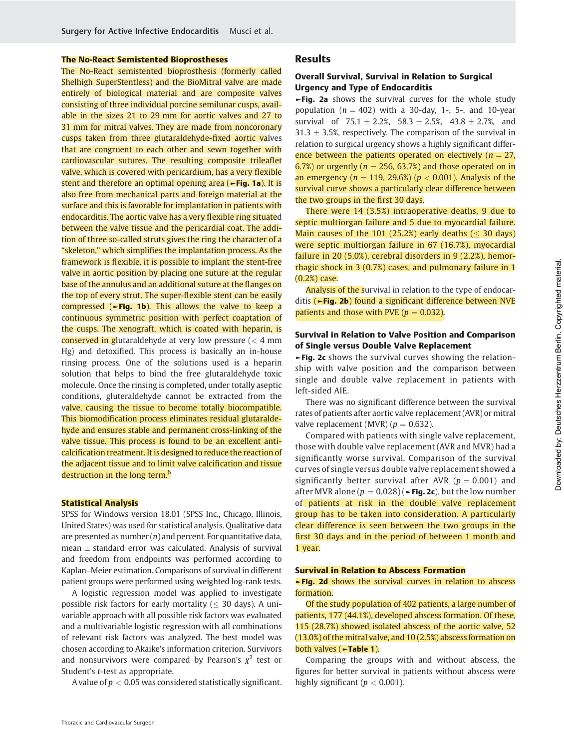#### The No-React Semistented Bioprostheses

The No-React semistented bioprosthesis (formerly called Shelhigh SuperStentless) and the BioMitral valve are made entirely of biological material and are composite valves consisting of three individual porcine semilunar cusps, available in the sizes 21 to 29 mm for aortic valves and 27 to 31 mm for mitral valves. They are made from noncoronary cusps taken from three glutaraldehyde-fixed aortic valves that are congruent to each other and sewn together with cardiovascular sutures. The resulting composite trileaflet valve, which is covered with pericardium, has a very flexible stent and therefore an optimal opening area (►Fig. 1a). It is also free from mechanical parts and foreign material at the surface and this is favorable for implantation in patients with endocarditis. The aortic valve has a very flexible ring situated between the valve tissue and the pericardial coat. The addition of three so-called struts gives the ring the character of a "skeleton," which simplifies the implantation process. As the framework is flexible, it is possible to implant the stent-free valve in aortic position by placing one suture at the regular base of the annulus and an additional suture at the flanges on the top of every strut. The super-flexible stent can be easily compressed ( $\blacktriangleright$ Fig. 1b). This allows the valve to keep a continuous symmetric position with perfect coaptation of the cusps. The xenograft, which is coated with heparin, is conserved in glutaraldehyde at very low pressure  $(< 4$  mm Hg) and detoxified. This process is basically an in-house rinsing process. One of the solutions used is a heparin solution that helps to bind the free glutaraldehyde toxic molecule. Once the rinsing is completed, under totally aseptic conditions, gluteraldehyde cannot be extracted from the valve, causing the tissue to become totally biocompatible. This biomodification process eliminates residual glutaraldehyde and ensures stable and permanent cross-linking of the valve tissue. This process is found to be an excellent anticalcification treatment. It is designed to reduce the reaction of the adjacent tissue and to limit valve calcification and tissue destruction in the long term.<sup>6</sup>

#### Statistical Analysis

SPSS for Windows version 18.01 (SPSS Inc., Chicago, Illinois, United States) was used for statistical analysis. Qualitative data are presented as number  $(n)$  and percent. For quantitative data, mean  $\pm$  standard error was calculated. Analysis of survival and freedom from endpoints was performed according to Kaplan–Meier estimation. Comparisons of survival in different patient groups were performed using weighted log-rank tests.

A logistic regression model was applied to investigate possible risk factors for early mortality ( $<$  30 days). A univariable approach with all possible risk factors was evaluated and a multivariable logistic regression with all combinations of relevant risk factors was analyzed. The best model was chosen according to Akaike's information criterion. Survivors and nonsurvivors were compared by Pearson's  $\chi^2$  test or Student's t-test as appropriate.

A value of  $p < 0.05$  was considered statistically significant.

# Results

## Overall Survival, Survival in Relation to Surgical Urgency and Type of Endocarditis

►Fig. 2a shows the survival curves for the whole study population  $(n = 402)$  with a 30-day, 1-, 5-, and 10-year survival of  $75.1 \pm 2.2$ %,  $58.3 \pm 2.5$ %,  $43.8 \pm 2.7$ %, and  $31.3 \pm 3.5$ %, respectively. The comparison of the survival in relation to surgical urgency shows a highly significant difference between the patients operated on electively ( $n = 27$ , 6.7%) or urgently ( $n = 256, 63.7%$ ) and those operated on in an emergency ( $n = 119, 29.6\%$ ) ( $p < 0.001$ ). Analysis of the survival curve shows a particularly clear difference between the two groups in the first 30 days.

There were 14 (3.5%) intraoperative deaths, 9 due to septic multiorgan failure and 5 due to myocardial failure. Main causes of the 101 (25.2%) early deaths ( $\leq$  30 days) were septic multiorgan failure in 67 (16.7%), myocardial failure in 20 (5.0%), cerebral disorders in 9 (2.2%), hemorrhagic shock in 3 (0.7%) cases, and pulmonary failure in 1 (0.2%) case.

Analysis of the survival in relation to the type of endocarditis (►Fig. 2b) found a significant difference between NVE patients and those with PVE ( $p = 0.032$ ).

# Survival in Relation to Valve Position and Comparison of Single versus Double Valve Replacement

►Fig. 2c shows the survival curves showing the relationship with valve position and the comparison between single and double valve replacement in patients with left-sided AIE.

There was no significant difference between the survival rates of patients after aortic valve replacement (AVR) or mitral valve replacement (MVR) ( $p = 0.632$ ).

Compared with patients with single valve replacement, those with double valve replacement (AVR and MVR) had a significantly worse survival. Comparison of the survival curves of single versus double valve replacement showed a significantly better survival after AVR ( $p = 0.001$ ) and after MVR alone ( $p = 0.028$ ) ( $\blacktriangleright$ Fig. 2c), but the low number of patients at risk in the double valve replacement group has to be taken into consideration. A particularly clear difference is seen between the two groups in the first 30 days and in the period of between 1 month and 1 year.

## Survival in Relation to Abscess Formation

►Fig. 2d shows the survival curves in relation to abscess formation.

Of the study population of 402 patients, a large number of patients, 177 (44.1%), developed abscess formation. Of these, 115 (28.7%) showed isolated abscess of the aortic valve, 52 (13.0%) of the mitral valve, and 10 (2.5%) abscess formation on both valves  $($  – Table 1).

Comparing the groups with and without abscess, the figures for better survival in patients without abscess were highly significant ( $p < 0.001$ ).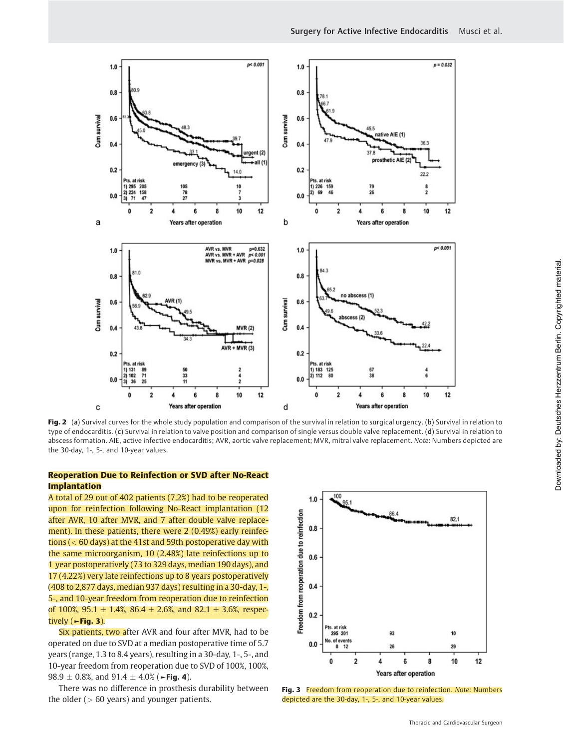

Fig. 2 (a) Survival curves for the whole study population and comparison of the survival in relation to surgical urgency. (b) Survival in relation to type of endocarditis. (c) Survival in relation to valve position and comparison of single versus double valve replacement. (d) Survival in relation to abscess formation. AIE, active infective endocarditis; AVR, aortic valve replacement; MVR, mitral valve replacement. Note: Numbers depicted are the 30-day, 1-, 5-, and 10-year values.

## Reoperation Due to Reinfection or SVD after No-React Implantation

A total of 29 out of 402 patients (7.2%) had to be reoperated upon for reinfection following No-React implantation (12 after AVR, 10 after MVR, and 7 after double valve replacement). In these patients, there were 2 (0.49%) early reinfections (< 60 days) at the 41st and 59th postoperative day with the same microorganism, 10 (2.48%) late reinfections up to 1 year postoperatively (73 to 329 days, median 190 days), and 17 (4.22%) very late reinfections up to 8 years postoperatively (408 to 2,877 days, median 937 days) resulting in a 30-day, 1-, 5-, and 10-year freedom from reoperation due to reinfection of 100%, 95.1  $\pm$  1.4%, 86.4  $\pm$  2.6%, and 82.1  $\pm$  3.6%, respectively ( $\blacktriangleright$  Fig. 3).

Six patients, two after AVR and four after MVR, had to be operated on due to SVD at a median postoperative time of 5.7 years (range, 1.3 to 8.4 years), resulting in a 30-day, 1-, 5-, and 10-year freedom from reoperation due to SVD of 100%, 100%, 98.9  $\pm$  0.8%, and 91.4  $\pm$  4.0% ( $\blacktriangleright$  Fig. 4).

There was no difference in prosthesis durability between the older  $(> 60$  years) and younger patients.



Fig. 3 Freedom from reoperation due to reinfection. Note: Numbers depicted are the 30-day, 1-, 5-, and 10-year values.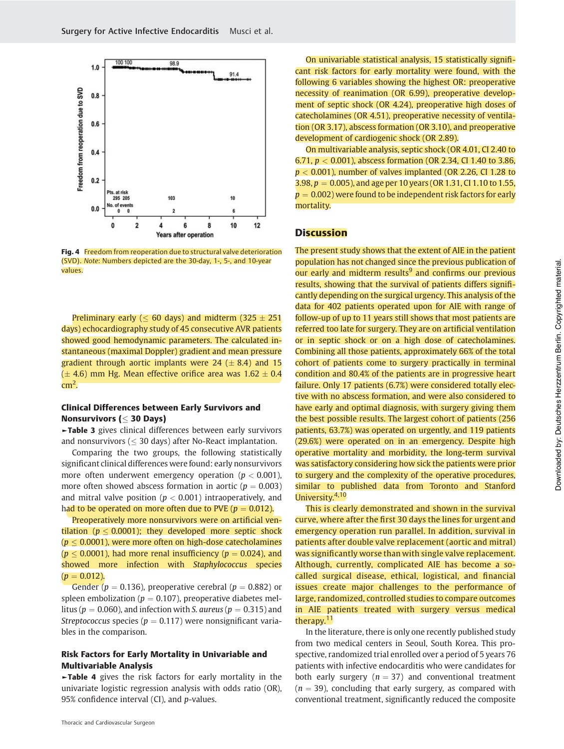

Fig. 4 Freedom from reoperation due to structural valve deterioration (SVD). Note: Numbers depicted are the 30-day, 1-, 5-, and 10-year values.

Preliminary early ( $\leq 60$  days) and midterm (325  $\pm$  251 days) echocardiography study of 45 consecutive AVR patients showed good hemodynamic parameters. The calculated instantaneous (maximal Doppler) gradient and mean pressure gradient through aortic implants were 24 ( $\pm$  8.4) and 15  $(\pm 4.6)$  mm Hg. Mean effective orifice area was  $1.62 \pm 0.4$  $\text{cm}^2$ .

# Clinical Differences between Early Survivors and Nonsurvivors ( $\leq$  30 Days)

►Table 3 gives clinical differences between early survivors and nonsurvivors ( $\leq$  30 days) after No-React implantation.

Comparing the two groups, the following statistically significant clinical differences were found: early nonsurvivors more often underwent emergency operation ( $p < 0.001$ ), more often showed abscess formation in aortic ( $p = 0.003$ ) and mitral valve position ( $p < 0.001$ ) intraoperatively, and had to be operated on more often due to PVE ( $p = 0.012$ ).

Preoperatively more nonsurvivors were on artificial ventilation ( $p < 0.0001$ ); they developed more septic shock  $(p < 0.0001)$ , were more often on high-dose catecholamines ( $p < 0.0001$ ), had more renal insufficiency ( $p = 0.024$ ), and showed more infection with Staphylococcus species  $(p = 0.012)$ .

Gender ( $p = 0.136$ ), preoperative cerebral ( $p = 0.882$ ) or spleen embolization ( $p = 0.107$ ), preoperative diabetes mellitus ( $p = 0.060$ ), and infection with S. aureus ( $p = 0.315$ ) and Streptococcus species ( $p = 0.117$ ) were nonsignificant variables in the comparison.

# Risk Factors for Early Mortality in Univariable and Multivariable Analysis

►Table 4 gives the risk factors for early mortality in the univariate logistic regression analysis with odds ratio (OR), 95% confidence interval (CI), and *p*-values.

On univariable statistical analysis, 15 statistically significant risk factors for early mortality were found, with the following 6 variables showing the highest OR: preoperative necessity of reanimation (OR 6.99), preoperative development of septic shock (OR 4.24), preoperative high doses of catecholamines (OR 4.51), preoperative necessity of ventilation (OR 3.17), abscess formation (OR 3.10), and preoperative development of cardiogenic shock (OR 2.89).

On multivariable analysis, septic shock (OR 4.01, CI 2.40 to 6.71,  $p < 0.001$ ), abscess formation (OR 2.34, CI 1.40 to 3.86,  $p < 0.001$ ), number of valves implanted (OR 2.26, CI 1.28 to 3.98,  $p = 0.005$ ), and age per 10 years (OR 1.31, CI 1.10 to 1.55,  $p = 0.002$ ) were found to be independent risk factors for early mortality.

# **Discussion**

The present study shows that the extent of AIE in the patient population has not changed since the previous publication of our early and midterm results<sup>9</sup> and confirms our previous results, showing that the survival of patients differs significantly depending on the surgical urgency. This analysis of the data for 402 patients operated upon for AIE with range of follow-up of up to 11 years still shows that most patients are referred too late for surgery. They are on artificial ventilation or in septic shock or on a high dose of catecholamines. Combining all those patients, approximately 66% of the total cohort of patients come to surgery practically in terminal condition and 80.4% of the patients are in progressive heart failure. Only 17 patients (6.7%) were considered totally elective with no abscess formation, and were also considered to have early and optimal diagnosis, with surgery giving them the best possible results. The largest cohort of patients (256 patients, 63.7%) was operated on urgently, and 119 patients (29.6%) were operated on in an emergency. Despite high operative mortality and morbidity, the long-term survival was satisfactory considering how sick the patients were prior to surgery and the complexity of the operative procedures, similar to published data from Toronto and Stanford University.<sup>4,10</sup>

This is clearly demonstrated and shown in the survival curve, where after the first 30 days the lines for urgent and emergency operation run parallel. In addition, survival in patients after double valve replacement (aortic and mitral) was significantly worse than with single valve replacement. Although, currently, complicated AIE has become a socalled surgical disease, ethical, logistical, and financial issues create major challenges to the performance of large, randomized, controlled studies to compare outcomes in AIE patients treated with surgery versus medical therapy.<sup>11</sup>

In the literature, there is only one recently published study from two medical centers in Seoul, South Korea. This prospective, randomized trial enrolled over a period of 5 years 76 patients with infective endocarditis who were candidates for both early surgery ( $n = 37$ ) and conventional treatment  $(n = 39)$ , concluding that early surgery, as compared with conventional treatment, significantly reduced the composite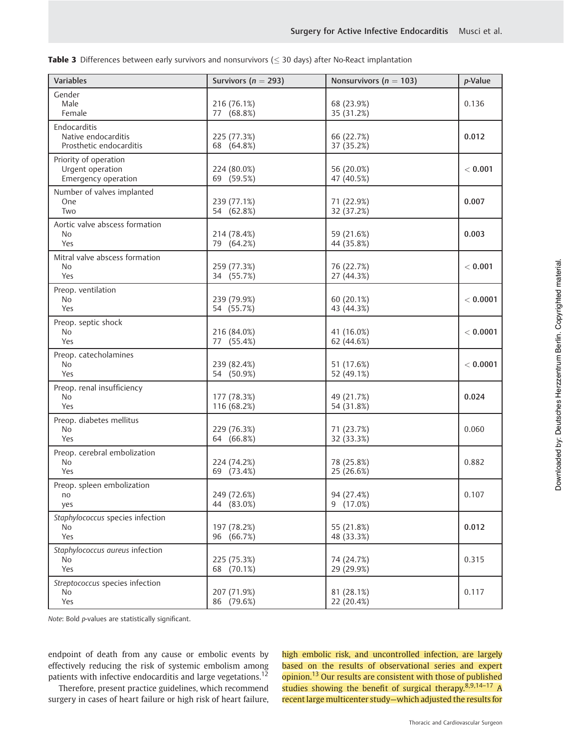| Variables                                                        | Survivors ( $n = 293$ )    | Nonsurvivors ( $n = 103$ ) | p-Value  |
|------------------------------------------------------------------|----------------------------|----------------------------|----------|
| Gender<br>Male<br>Female                                         | 216 (76.1%)<br>77 (68.8%)  | 68 (23.9%)<br>35 (31.2%)   | 0.136    |
| Endocarditis<br>Native endocarditis<br>Prosthetic endocarditis   | 225 (77.3%)<br>68 (64.8%)  | 66 (22.7%)<br>37 (35.2%)   | 0.012    |
| Priority of operation<br>Urgent operation<br>Emergency operation | 224 (80.0%)<br>69 (59.5%)  | 56 (20.0%)<br>47 (40.5%)   | < 0.001  |
| Number of valves implanted<br>One<br>Two                         | 239 (77.1%)<br>54 (62.8%)  | 71 (22.9%)<br>32 (37.2%)   | 0.007    |
| Aortic valve abscess formation<br>No.<br>Yes                     | 214 (78.4%)<br>79 (64.2%)  | 59 (21.6%)<br>44 (35.8%)   | 0.003    |
| Mitral valve abscess formation<br>No.<br>Yes                     | 259 (77.3%)<br>34 (55.7%)  | 76 (22.7%)<br>27 (44.3%)   | < 0.001  |
| Preop. ventilation<br>No<br>Yes                                  | 239 (79.9%)<br>54 (55.7%)  | 60 (20.1%)<br>43 (44.3%)   | < 0.0001 |
| Preop. septic shock<br>No<br>Yes                                 | 216 (84.0%)<br>77 (55.4%)  | 41 (16.0%)<br>62 (44.6%)   | < 0.0001 |
| Preop. catecholamines<br><b>No</b><br>Yes                        | 239 (82.4%)<br>54 (50.9%)  | 51 (17.6%)<br>52 (49.1%)   | < 0.0001 |
| Preop. renal insufficiency<br>No.<br>Yes                         | 177 (78.3%)<br>116 (68.2%) | 49 (21.7%)<br>54 (31.8%)   | 0.024    |
| Preop. diabetes mellitus<br><b>No</b><br>Yes                     | 229 (76.3%)<br>64 (66.8%)  | 71 (23.7%)<br>32 (33.3%)   | 0.060    |
| Preop. cerebral embolization<br>No<br>Yes                        | 224 (74.2%)<br>69 (73.4%)  | 78 (25.8%)<br>25 (26.6%)   | 0.882    |
| Preop. spleen embolization<br>no<br>yes                          | 249 (72.6%)<br>44 (83.0%)  | 94 (27.4%)<br>9 (17.0%)    | 0.107    |
| Staphylococcus species infection<br>No.<br>Yes                   | 197 (78.2%)<br>96 (66.7%)  | 55 (21.8%)<br>48 (33.3%)   | 0.012    |
| Staphylococcus aureus infection<br>No.<br>Yes                    | 225 (75.3%)<br>68 (70.1%)  | 74 (24.7%)<br>29 (29.9%)   | 0.315    |
| Streptococcus species infection<br>No<br>Yes                     | 207 (71.9%)<br>86 (79.6%)  | 81 (28.1%)<br>22 (20.4%)   | 0.117    |

**Table 3** Differences between early survivors and nonsurvivors  $( \leq 30 \text{ days})$  after No-React implantation

Note: Bold p-values are statistically significant.

endpoint of death from any cause or embolic events by effectively reducing the risk of systemic embolism among patients with infective endocarditis and large vegetations.<sup>12</sup>

Therefore, present practice guidelines, which recommend surgery in cases of heart failure or high risk of heart failure, high embolic risk, and uncontrolled infection, are largely based on the results of observational series and expert opinion.<sup>13</sup> Our results are consistent with those of published studies showing the benefit of surgical therapy. $8,9,14-17$  A recent large multicenter study—which adjusted the results for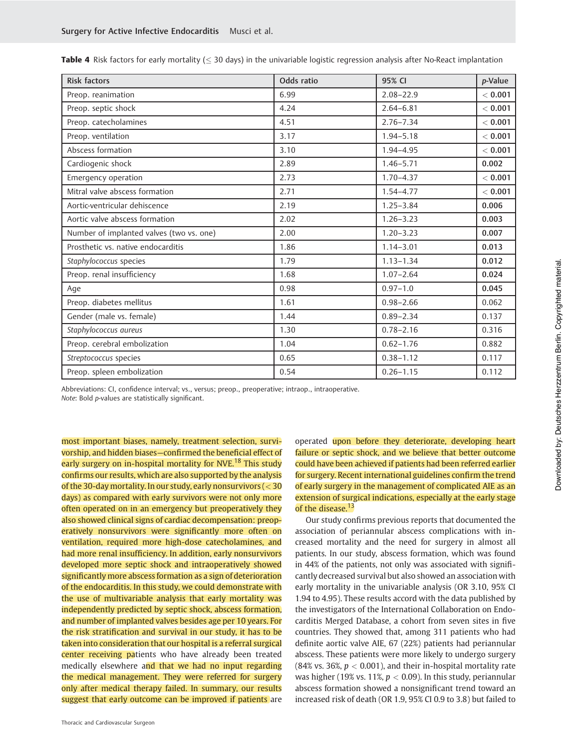Table 4 Risk factors for early mortality  $( $30 \text{ days}$ ) in the univariable logistic regression analysis after No-React implantation$ 

| <b>Risk factors</b>                      | Odds ratio | 95% CI        | p-Value |
|------------------------------------------|------------|---------------|---------|
| Preop. reanimation                       | 6.99       | $2.08 - 22.9$ | < 0.001 |
| Preop. septic shock                      | 4.24       | $2.64 - 6.81$ | < 0.001 |
| Preop. catecholamines                    | 4.51       | $2.76 - 7.34$ | < 0.001 |
| Preop. ventilation                       | 3.17       | $1.94 - 5.18$ | < 0.001 |
| Abscess formation                        | 3.10       | 1.94-4.95     | < 0.001 |
| Cardiogenic shock                        | 2.89       | $1.46 - 5.71$ | 0.002   |
| Emergency operation                      | 2.73       | $1.70 - 4.37$ | < 0.001 |
| Mitral valve abscess formation           | 2.71       | $1.54 - 4.77$ | < 0.001 |
| Aortic-ventricular dehiscence            | 2.19       | $1.25 - 3.84$ | 0.006   |
| Aortic valve abscess formation           | 2.02       | $1.26 - 3.23$ | 0.003   |
| Number of implanted valves (two vs. one) | 2.00       | $1.20 - 3.23$ | 0.007   |
| Prosthetic vs. native endocarditis       | 1.86       | $1.14 - 3.01$ | 0.013   |
| Staphylococcus species                   | 1.79       | $1.13 - 1.34$ | 0.012   |
| Preop. renal insufficiency               | 1.68       | $1.07 - 2.64$ | 0.024   |
| Age                                      | 0.98       | $0.97 - 1.0$  | 0.045   |
| Preop. diabetes mellitus                 | 1.61       | $0.98 - 2.66$ | 0.062   |
| Gender (male vs. female)                 | 1.44       | $0.89 - 2.34$ | 0.137   |
| Staphylococcus aureus                    | 1.30       | $0.78 - 2.16$ | 0.316   |
| Preop. cerebral embolization             | 1.04       | $0.62 - 1.76$ | 0.882   |
| Streptococcus species                    | 0.65       | $0.38 - 1.12$ | 0.117   |
| Preop. spleen embolization               | 0.54       | $0.26 - 1.15$ | 0.112   |

Abbreviations: CI, confidence interval; vs., versus; preop., preoperative; intraop., intraoperative.

Note: Bold p-values are statistically significant.

most important biases, namely, treatment selection, survivorship, and hidden biases—confirmed the beneficial effect of early surgery on in-hospital mortality for NVE.<sup>18</sup> This study confirms our results, which are also supported by the analysis of the 30-day mortality. In our study, early nonsurvivors (< 30 days) as compared with early survivors were not only more often operated on in an emergency but preoperatively they also showed clinical signs of cardiac decompensation: preoperatively nonsurvivors were significantly more often on ventilation, required more high-dose catecholamines, and had more renal insufficiency. In addition, early nonsurvivors developed more septic shock and intraoperatively showed significantly more abscess formation as a sign of deterioration of the endocarditis. In this study, we could demonstrate with the use of multivariable analysis that early mortality was independently predicted by septic shock, abscess formation, and number of implanted valves besides age per 10 years. For the risk stratification and survival in our study, it has to be taken into consideration that our hospital is a referral surgical center receiving patients who have already been treated medically elsewhere and that we had no input regarding the medical management. They were referred for surgery only after medical therapy failed. In summary, our results suggest that early outcome can be improved if patients are

Thoracic and Cardiovascular Surgeon

operated upon before they deteriorate, developing heart failure or septic shock, and we believe that better outcome could have been achieved if patients had been referred earlier for surgery. Recent international guidelines confirm the trend of early surgery in the management of complicated AIE as an extension of surgical indications, especially at the early stage of the disease.<sup>13</sup>

Our study confirms previous reports that documented the association of periannular abscess complications with increased mortality and the need for surgery in almost all patients. In our study, abscess formation, which was found in 44% of the patients, not only was associated with significantly decreased survival but also showed an association with early mortality in the univariable analysis (OR 3.10, 95% CI 1.94 to 4.95). These results accord with the data published by the investigators of the International Collaboration on Endocarditis Merged Database, a cohort from seven sites in five countries. They showed that, among 311 patients who had definite aortic valve AIE, 67 (22%) patients had periannular abscess. These patients were more likely to undergo surgery (84% vs. 36%,  $p < 0.001$ ), and their in-hospital mortality rate was higher (19% vs. 11%,  $p < 0.09$ ). In this study, periannular abscess formation showed a nonsignificant trend toward an increased risk of death (OR 1.9, 95% CI 0.9 to 3.8) but failed to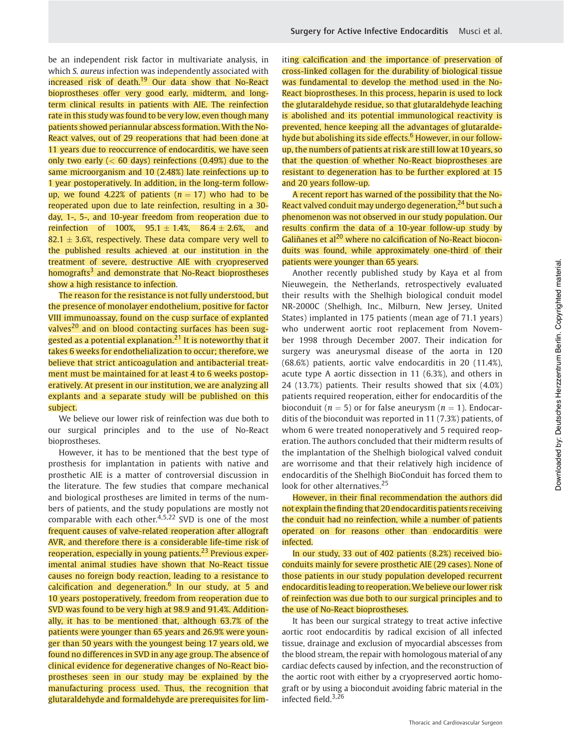be an independent risk factor in multivariate analysis, in which S. aureus infection was independently associated with increased risk of death.<sup>19</sup> Our data show that No-React bioprostheses offer very good early, midterm, and longterm clinical results in patients with AIE. The reinfection rate in this study was found to be very low, even though many patients showed periannular abscess formation. With the No-React valves, out of 29 reoperations that had been done at 11 years due to reoccurrence of endocarditis, we have seen only two early  $(< 60$  days) reinfections  $(0.49%)$  due to the same microorganism and 10 (2.48%) late reinfections up to 1 year postoperatively. In addition, in the long-term followup, we found 4.22% of patients  $(n = 17)$  who had to be reoperated upon due to late reinfection, resulting in a 30 day, 1-, 5-, and 10-year freedom from reoperation due to reinfection of 100%,  $95.1 \pm 1.4$ %, 86.4  $\pm$  2.6%, and 82.1  $\pm$  3.6%, respectively. These data compare very well to the published results achieved at our institution in the treatment of severe, destructive AIE with cryopreserved homografts $3$  and demonstrate that No-React bioprostheses show a high resistance to infection.

The reason for the resistance is not fully understood, but the presence of monolayer endothelium, positive for factor VIII immunoassay, found on the cusp surface of explanted valves<sup>20</sup> and on blood contacting surfaces has been suggested as a potential explanation.<sup>21</sup> It is noteworthy that it takes 6 weeks for endothelialization to occur; therefore, we believe that strict anticoagulation and antibacterial treatment must be maintained for at least 4 to 6 weeks postoperatively. At present in our institution, we are analyzing all explants and a separate study will be published on this subject.

We believe our lower risk of reinfection was due both to our surgical principles and to the use of No-React bioprostheses.

However, it has to be mentioned that the best type of prosthesis for implantation in patients with native and prosthetic AIE is a matter of controversial discussion in the literature. The few studies that compare mechanical and biological prostheses are limited in terms of the numbers of patients, and the study populations are mostly not comparable with each other. $4,5,22$  SVD is one of the most frequent causes of valve-related reoperation after allograft AVR, and therefore there is a considerable life-time risk of reoperation, especially in young patients.<sup>23</sup> Previous experimental animal studies have shown that No-React tissue causes no foreign body reaction, leading to a resistance to calcification and degeneration.<sup>6</sup> In our study, at 5 and 10 years postoperatively, freedom from reoperation due to SVD was found to be very high at 98.9 and 91.4%. Additionally, it has to be mentioned that, although 63.7% of the patients were younger than 65 years and 26.9% were younger than 50 years with the youngest being 17 years old, we found no differences in SVD in any age group. The absence of clinical evidence for degenerative changes of No-React bioprostheses seen in our study may be explained by the manufacturing process used. Thus, the recognition that glutaraldehyde and formaldehyde are prerequisites for limiting calcification and the importance of preservation of cross-linked collagen for the durability of biological tissue was fundamental to develop the method used in the No-React bioprostheses. In this process, heparin is used to lock the glutaraldehyde residue, so that glutaraldehyde leaching is abolished and its potential immunological reactivity is prevented, hence keeping all the advantages of glutaraldehyde but abolishing its side effects.<sup>6</sup> However, in our followup, the numbers of patients at risk are still low at 10 years, so that the question of whether No-React bioprostheses are resistant to degeneration has to be further explored at 15 and 20 years follow-up.

A recent report has warned of the possibility that the No-React valved conduit may undergo degeneration,<sup>24</sup> but such a phenomenon was not observed in our study population. Our results confirm the data of a 10-year follow-up study by Galiñanes et al<sup>20</sup> where no calcification of No-React bioconduits was found, while approximately one-third of their patients were younger than 65 years.

Another recently published study by Kaya et al from Nieuwegein, the Netherlands, retrospectively evaluated their results with the Shelhigh biological conduit model NR-2000C (Shelhigh, Inc., Milburn, New Jersey, United States) implanted in 175 patients (mean age of 71.1 years) who underwent aortic root replacement from November 1998 through December 2007. Their indication for surgery was aneurysmal disease of the aorta in 120 (68.6%) patients, aortic valve endocarditis in 20 (11.4%), acute type A aortic dissection in 11 (6.3%), and others in 24 (13.7%) patients. Their results showed that six (4.0%) patients required reoperation, either for endocarditis of the bioconduit ( $n = 5$ ) or for false aneurysm ( $n = 1$ ). Endocarditis of the bioconduit was reported in 11 (7.3%) patients, of whom 6 were treated nonoperatively and 5 required reoperation. The authors concluded that their midterm results of the implantation of the Shelhigh biological valved conduit are worrisome and that their relatively high incidence of endocarditis of the Shelhigh BioConduit has forced them to look for other alternatives.<sup>25</sup>

However, in their final recommendation the authors did not explain the finding that 20 endocarditis patients receiving the conduit had no reinfection, while a number of patients operated on for reasons other than endocarditis were infected.

In our study, 33 out of 402 patients (8.2%) received bioconduits mainly for severe prosthetic AIE (29 cases). None of those patients in our study population developed recurrent endocarditis leading to reoperation. We believe our lower risk of reinfection was due both to our surgical principles and to the use of No-React bioprostheses.

It has been our surgical strategy to treat active infective aortic root endocarditis by radical excision of all infected tissue, drainage and exclusion of myocardial abscesses from the blood stream, the repair with homologous material of any cardiac defects caused by infection, and the reconstruction of the aortic root with either by a cryopreserved aortic homograft or by using a bioconduit avoiding fabric material in the infected field.<sup>3,26</sup>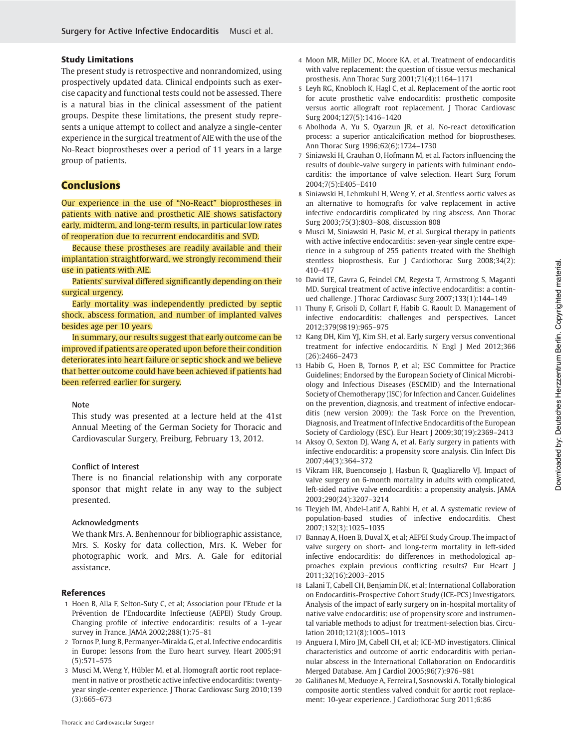#### Study Limitations

The present study is retrospective and nonrandomized, using prospectively updated data. Clinical endpoints such as exercise capacity and functional tests could not be assessed. There is a natural bias in the clinical assessment of the patient groups. Despite these limitations, the present study represents a unique attempt to collect and analyze a single-center experience in the surgical treatment of AIE with the use of the No-React bioprostheses over a period of 11 years in a large group of patients.

# Conclusions

Our experience in the use of "No-React" bioprostheses in patients with native and prosthetic AIE shows satisfactory early, midterm, and long-term results, in particular low rates of reoperation due to recurrent endocarditis and SVD.

Because these prostheses are readily available and their implantation straightforward, we strongly recommend their use in patients with AIE.

Patients' survival differed significantly depending on their surgical urgency.

Early mortality was independently predicted by septic shock, abscess formation, and number of implanted valves besides age per 10 years.

In summary, our results suggest that early outcome can be improved if patients are operated upon before their condition deteriorates into heart failure or septic shock and we believe that better outcome could have been achieved if patients had been referred earlier for surgery.

#### Note

This study was presented at a lecture held at the 41st Annual Meeting of the German Society for Thoracic and Cardiovascular Surgery, Freiburg, February 13, 2012.

#### Conflict of Interest

There is no financial relationship with any corporate sponsor that might relate in any way to the subject presented.

#### Acknowledgments

We thank Mrs. A. Benhennour for bibliographic assistance, Mrs. S. Kosky for data collection, Mrs. K. Weber for photographic work, and Mrs. A. Gale for editorial assistance.

#### References

- 1 Hoen B, Alla F, Selton-Suty C, et al; Association pour l'Etude et la Prévention de l'Endocardite Infectieuse (AEPEI) Study Group. Changing profile of infective endocarditis: results of a 1-year survey in France. JAMA 2002;288(1):75–81
- 2 Tornos P, Iung B, Permanyer-Miralda G, et al. Infective endocarditis in Europe: lessons from the Euro heart survey. Heart 2005;91 (5):571–575
- 3 Musci M, Weng Y, Hübler M, et al. Homograft aortic root replacement in native or prosthetic active infective endocarditis: twentyyear single-center experience. J Thorac Cardiovasc Surg 2010;139 (3):665–673
- 4 Moon MR, Miller DC, Moore KA, et al. Treatment of endocarditis with valve replacement: the question of tissue versus mechanical prosthesis. Ann Thorac Surg 2001;71(4):1164–1171
- 5 Leyh RG, Knobloch K, Hagl C, et al. Replacement of the aortic root for acute prosthetic valve endocarditis: prosthetic composite versus aortic allograft root replacement. J Thorac Cardiovasc Surg 2004;127(5):1416–1420
- 6 Abolhoda A, Yu S, Oyarzun JR, et al. No-react detoxification process: a superior anticalcification method for bioprostheses. Ann Thorac Surg 1996;62(6):1724–1730
- 7 Siniawski H, Grauhan O, Hofmann M, et al. Factors influencing the results of double-valve surgery in patients with fulminant endocarditis: the importance of valve selection. Heart Surg Forum 2004;7(5):E405–E410
- 8 Siniawski H, Lehmkuhl H, Weng Y, et al. Stentless aortic valves as an alternative to homografts for valve replacement in active infective endocarditis complicated by ring abscess. Ann Thorac Surg 2003;75(3):803–808, discussion 808
- 9 Musci M, Siniawski H, Pasic M, et al. Surgical therapy in patients with active infective endocarditis: seven-year single centre experience in a subgroup of 255 patients treated with the Shelhigh stentless bioprosthesis. Eur J Cardiothorac Surg 2008;34(2): 410–417
- 10 David TE, Gavra G, Feindel CM, Regesta T, Armstrong S, Maganti MD. Surgical treatment of active infective endocarditis: a continued challenge. J Thorac Cardiovasc Surg 2007;133(1):144–149
- 11 Thuny F, Grisoli D, Collart F, Habib G, Raoult D. Management of infective endocarditis: challenges and perspectives. Lancet 2012;379(9819):965–975
- 12 Kang DH, Kim YJ, Kim SH, et al. Early surgery versus conventional treatment for infective endocarditis. N Engl J Med 2012;366 (26):2466–2473
- 13 Habib G, Hoen B, Tornos P, et al; ESC Committee for Practice Guidelines; Endorsed by the European Society of Clinical Microbiology and Infectious Diseases (ESCMID) and the International Society of Chemotherapy (ISC) for Infection and Cancer. Guidelines on the prevention, diagnosis, and treatment of infective endocarditis (new version 2009): the Task Force on the Prevention, Diagnosis, and Treatment of Infective Endocarditis of the European Society of Cardiology (ESC). Eur Heart J 2009;30(19):2369–2413
- 14 Aksoy O, Sexton DJ, Wang A, et al. Early surgery in patients with infective endocarditis: a propensity score analysis. Clin Infect Dis 2007;44(3):364–372
- 15 Vikram HR, Buenconsejo J, Hasbun R, Quagliarello VJ. Impact of valve surgery on 6-month mortality in adults with complicated, left-sided native valve endocarditis: a propensity analysis. JAMA 2003;290(24):3207–3214
- 16 Tleyjeh IM, Abdel-Latif A, Rahbi H, et al. A systematic review of population-based studies of infective endocarditis. Chest 2007;132(3):1025–1035
- 17 Bannay A, Hoen B, Duval X, et al; AEPEI Study Group. The impact of valve surgery on short- and long-term mortality in left-sided infective endocarditis: do differences in methodological approaches explain previous conflicting results? Eur Heart J 2011;32(16):2003–2015
- 18 Lalani T, Cabell CH, Benjamin DK, et al; International Collaboration on Endocarditis-Prospective Cohort Study (ICE-PCS) Investigators. Analysis of the impact of early surgery on in-hospital mortality of native valve endocarditis: use of propensity score and instrumental variable methods to adjust for treatment-selection bias. Circulation 2010;121(8):1005–1013
- 19 Anguera I, Miro JM, Cabell CH, et al; ICE-MD investigators. Clinical characteristics and outcome of aortic endocarditis with periannular abscess in the International Collaboration on Endocarditis Merged Database. Am J Cardiol 2005;96(7):976–981
- 20 Galiñanes M, Meduoye A, Ferreira I, Sosnowski A. Totally biological composite aortic stentless valved conduit for aortic root replacement: 10-year experience. J Cardiothorac Surg 2011;6:86